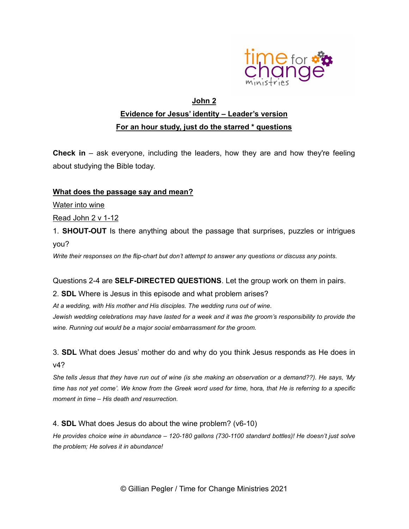

# John 2 Evidence for Jesus' identity – Leader's version For an hour study, just do the starred \* questions

Check in – ask everyone, including the leaders, how they are and how they're feeling about studying the Bible today.

### What does the passage say and mean?

Water into wine

Read John 2 v 1-12

1. SHOUT-OUT Is there anything about the passage that surprises, puzzles or intrigues you?

Write their responses on the flip-chart but don't attempt to answer any questions or discuss any points.

Questions 2-4 are **SELF-DIRECTED QUESTIONS**. Let the group work on them in pairs.

2. SDL Where is Jesus in this episode and what problem arises?

At a wedding, with His mother and His disciples. The wedding runs out of wine.

Jewish wedding celebrations may have lasted for a week and it was the groom's responsibility to provide the wine. Running out would be a major social embarrassment for the groom.

3. SDL What does Jesus' mother do and why do you think Jesus responds as He does in v4?

She tells Jesus that they have run out of wine (is she making an observation or a demand??). He says, 'My time has not yet come'. We know from the Greek word used for time, hora, that He is referring to a specific moment in time – His death and resurrection.

#### 4. SDL What does Jesus do about the wine problem? (v6-10)

He provides choice wine in abundance – 120-180 gallons (730-1100 standard bottles)! He doesn't just solve the problem; He solves it in abundance!

© Gillian Pegler / Time for Change Ministries 2021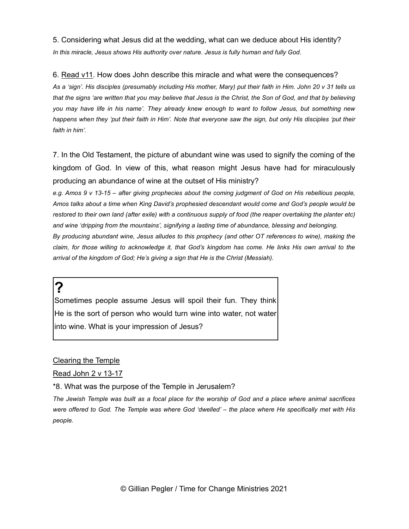5. Considering what Jesus did at the wedding, what can we deduce about His identity? In this miracle, Jesus shows His authority over nature. Jesus is fully human and fully God.

6. Read v11. How does John describe this miracle and what were the consequences?

As a 'sign'. His disciples (presumably including His mother, Mary) put their faith in Him. John 20 v 31 tells us that the signs 'are written that you may believe that Jesus is the Christ, the Son of God, and that by believing you may have life in his name'. They already knew enough to want to follow Jesus, but something new happens when they 'put their faith in Him'. Note that everyone saw the sign, but only His disciples 'put their faith in him'.

7. In the Old Testament, the picture of abundant wine was used to signify the coming of the kingdom of God. In view of this, what reason might Jesus have had for miraculously producing an abundance of wine at the outset of His ministry?

e.g. Amos 9 v 13-15 – after giving prophecies about the coming judgment of God on His rebellious people, Amos talks about a time when King David's prophesied descendant would come and God's people would be restored to their own land (after exile) with a continuous supply of food (the reaper overtaking the planter etc) and wine 'dripping from the mountains', signifying a lasting time of abundance, blessing and belonging. By producing abundant wine, Jesus alludes to this prophecy (and other OT references to wine), making the claim, for those willing to acknowledge it, that God's kingdom has come. He links His own arrival to the

arrival of the kingdom of God; He's giving a sign that He is the Christ (Messiah).

?

Sometimes people assume Jesus will spoil their fun. They think He is the sort of person who would turn wine into water, not water into wine. What is your impression of Jesus?

Clearing the Temple

Read John 2 v 13-17

\*8. What was the purpose of the Temple in Jerusalem?

The Jewish Temple was built as a focal place for the worship of God and a place where animal sacrifices were offered to God. The Temple was where God 'dwelled' – the place where He specifically met with His people.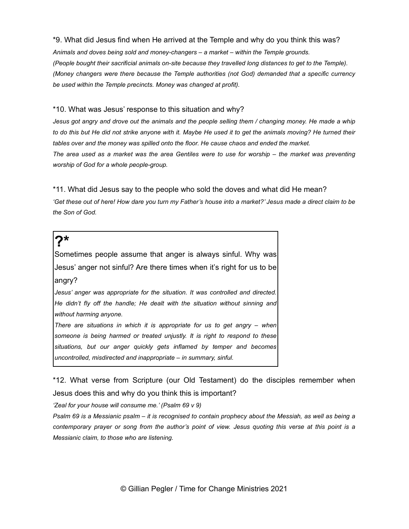\*9. What did Jesus find when He arrived at the Temple and why do you think this was? Animals and doves being sold and money-changers – a market – within the Temple grounds. (People bought their sacrificial animals on-site because they travelled long distances to get to the Temple). (Money changers were there because the Temple authorities (not God) demanded that a specific currency be used within the Temple precincts. Money was changed at profit).

#### \*10. What was Jesus' response to this situation and why?

Jesus got angry and drove out the animals and the people selling them / changing money. He made a whip to do this but He did not strike anyone with it. Maybe He used it to get the animals moving? He turned their tables over and the money was spilled onto the floor. He cause chaos and ended the market. The area used as a market was the area Gentiles were to use for worship – the market was preventing worship of God for a whole people-group.

\*11. What did Jesus say to the people who sold the doves and what did He mean? 'Get these out of here! How dare you turn my Father's house into a market?' Jesus made a direct claim to be the Son of God.

### $\mathbf{\Sigma}^{\star}$

Sometimes people assume that anger is always sinful. Why was Jesus' anger not sinful? Are there times when it's right for us to be angry?

Jesus' anger was appropriate for the situation. It was controlled and directed. He didn't fly off the handle; He dealt with the situation without sinning and without harming anyone.

There are situations in which it is appropriate for us to get angry – when someone is being harmed or treated unjustly. It is right to respond to these situations, but our anger quickly gets inflamed by temper and becomes uncontrolled, misdirected and inappropriate – in summary, sinful.

\*12. What verse from Scripture (our Old Testament) do the disciples remember when Jesus does this and why do you think this is important?

'Zeal for your house will consume me.' (Psalm 69 v 9)

Psalm 69 is a Messianic psalm – it is recognised to contain prophecy about the Messiah, as well as being a contemporary prayer or song from the author's point of view. Jesus quoting this verse at this point is a Messianic claim, to those who are listening.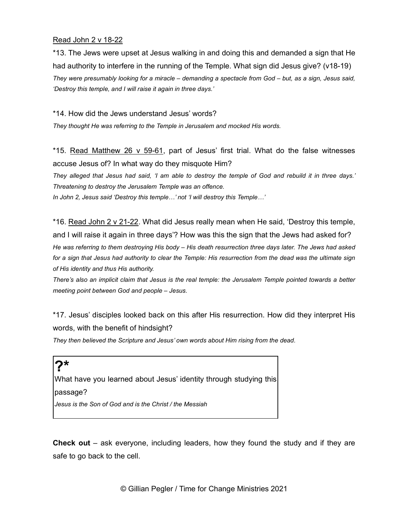#### Read John 2 v 18-22

\*13. The Jews were upset at Jesus walking in and doing this and demanded a sign that He had authority to interfere in the running of the Temple. What sign did Jesus give? (v18-19) They were presumably looking for a miracle – demanding a spectacle from God – but, as a sign, Jesus said, 'Destroy this temple, and I will raise it again in three days.'

\*14. How did the Jews understand Jesus' words?

They thought He was referring to the Temple in Jerusalem and mocked His words.

\*15. Read Matthew 26 v 59-61, part of Jesus' first trial. What do the false witnesses accuse Jesus of? In what way do they misquote Him?

They alleged that Jesus had said, 'I am able to destroy the temple of God and rebuild it in three days.' Threatening to destroy the Jerusalem Temple was an offence.

In John 2, Jesus said 'Destroy this temple…' not 'I will destroy this Temple…'

\*16. Read John 2 v 21-22. What did Jesus really mean when He said, 'Destroy this temple, and I will raise it again in three days'? How was this the sign that the Jews had asked for? He was referring to them destroying His body – His death resurrection three days later. The Jews had asked for a sign that Jesus had authority to clear the Temple: His resurrection from the dead was the ultimate sign of His identity and thus His authority.

There's also an implicit claim that Jesus is the real temple: the Jerusalem Temple pointed towards a better meeting point between God and people – Jesus.

\*17. Jesus' disciples looked back on this after His resurrection. How did they interpret His words, with the benefit of hindsight?

They then believed the Scripture and Jesus' own words about Him rising from the dead.

# $2*$

What have you learned about Jesus' identity through studying this passage? Jesus is the Son of God and is the Christ / the Messiah

**Check out** – ask everyone, including leaders, how they found the study and if they are safe to go back to the cell.

© Gillian Pegler / Time for Change Ministries 2021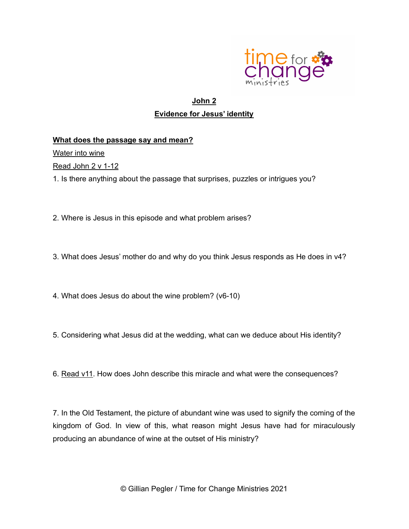

## John 2 Evidence for Jesus' identity

### What does the passage say and mean?

Water into wine

**Read John 2 v 1-12** 

1. Is there anything about the passage that surprises, puzzles or intrigues you?

2. Where is Jesus in this episode and what problem arises?

3. What does Jesus' mother do and why do you think Jesus responds as He does in v4?

4. What does Jesus do about the wine problem? (v6-10)

- 5. Considering what Jesus did at the wedding, what can we deduce about His identity?
- 6. Read v11. How does John describe this miracle and what were the consequences?

7. In the Old Testament, the picture of abundant wine was used to signify the coming of the kingdom of God. In view of this, what reason might Jesus have had for miraculously producing an abundance of wine at the outset of His ministry?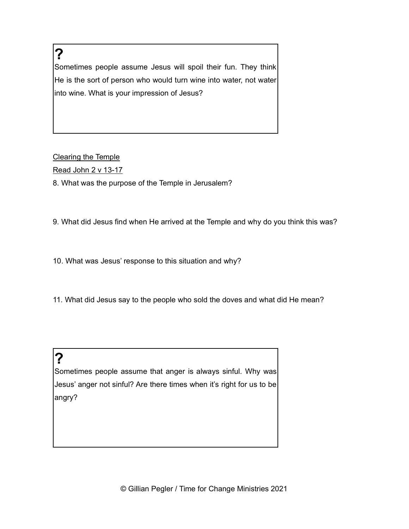? Sometimes people assume Jesus will spoil their fun. They think He is the sort of person who would turn wine into water, not water into wine. What is your impression of Jesus?

### Clearing the Temple

Read John 2 v 13-17

8. What was the purpose of the Temple in Jerusalem?

9. What did Jesus find when He arrived at the Temple and why do you think this was?

10. What was Jesus' response to this situation and why?

11. What did Jesus say to the people who sold the doves and what did He mean?

# ?

Sometimes people assume that anger is always sinful. Why was Jesus' anger not sinful? Are there times when it's right for us to be angry?